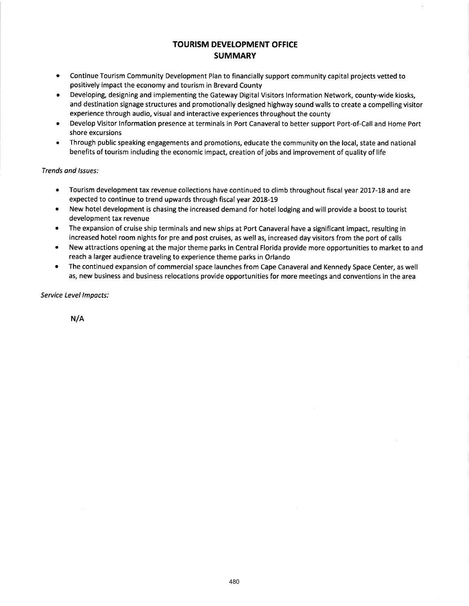### TOURISM DEVELOPMENT OFFICE **SUMMARY**

- Continue Tourism Community Development Plan to financially support community capital projects vetted to positively impact the economy and tourism in Brevard County a
- Developing, designing and implementing the Gateway Digital Visitors lnformation Network, county-wide kiosks, and destination signage structures and promotionally designed highway sound walls to create a compelling visitor experience through audio, visual and interactive experiences throughout the county a
- Develop Visitor lnformation presence at terminals in Port Canaveral to better support Port-of-Call and Home Port shore excursions a
- Through public speaking engagements and promotions, educate the community on the local, state and national benefits of tourism including the economic impact, creation of jobs and improvement of quality of life

Trends ond lssues:

- Tourism development tax revenue collections have continued to climb throughout fiscal year 2OL7-I8 and are expected to continue to trend upwards through fiscal year 2018-19 a
- New hotel development is chasing the increased demand for hotel lodging and will provide a boost to tourist development tax revenue a
- The expansion of cruise ship terminals and new ships at Port Canaveral have a significant impact, resulting in increased hotel room nights for pre and post cruises, as well as, increased day visitors from the port of calls a
- New attractions opening at the major theme parks in Central Florida provide more opportunities to market to and reach a larger audience traveling to experience theme parks in Orlando a
- The continued expansion of commercial space launches from Cape Canaveral and Kennedy Space Center, as well as, new business and business relocations provide opportunities for more meetings and conventions in the area a

Seruice Level lmpacts:

N/A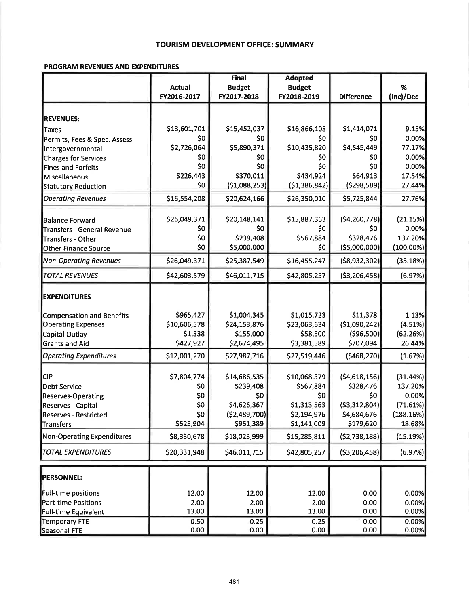#### TOURISM DEVELOPMENT OFFICE: SUMMARY

#### PROGRAM REVENUES AND EXPENDITURES

|                                  |               | <b>Final</b>   | <b>Adopted</b> |                   |              |
|----------------------------------|---------------|----------------|----------------|-------------------|--------------|
|                                  | <b>Actual</b> | <b>Budget</b>  | <b>Budget</b>  |                   | %            |
|                                  | FY2016-2017   | FY2017-2018    | FY2018-2019    | <b>Difference</b> | (Inc)/Dec    |
|                                  |               |                |                |                   |              |
| <b>REVENUES:</b>                 |               |                |                |                   |              |
| Taxes                            | \$13,601,701  | \$15,452,037   | \$16,866,108   | \$1,414,071       | 9.15%        |
| Permits, Fees & Spec. Assess.    | \$0           | \$0            | \$0            | \$0               | 0.00%        |
| Intergovernmental                | \$2,726,064   | \$5,890,371    | \$10,435,820   | \$4,545,449       | 77.17%       |
| <b>Charges for Services</b>      | \$0           | \$0            | \$0            | \$0               | 0.00%        |
| <b>Fines and Forfeits</b>        | \$0           | \$0            | \$0            | \$0               | 0.00%        |
| Miscellaneous                    | \$226,443     | \$370,011      | \$434,924      | \$64,913          | 17.54%       |
| <b>Statutory Reduction</b>       | \$0           | (51,088,253)   | (\$1,386,842)  | (5298,589)        | 27.44%       |
| <b>Operating Revenues</b>        | \$16,554,208  | \$20,624,166   | \$26,350,010   | \$5,725,844       | 27.76%       |
| Balance Forward                  | \$26,049,371  | \$20,148,141   | \$15,887,363   | (54, 260, 778)    | (21.15%)     |
| Transfers - General Revenue      | \$0           | \$0            | \$0            | \$0               | 0.00%        |
| <b>Transfers - Other</b>         | \$0           | \$239,408      | \$567,884      | \$328,476         | 137.20%      |
| <b>Other Finance Source</b>      | \$0           | \$5,000,000    | \$0            | ( \$5,000,000]    | $(100.00\%)$ |
| <b>Non-Operating Revenues</b>    | \$26,049,371  | \$25,387,549   | \$16,455,247   | ( \$8,932,302)    | (35.18%)     |
| <b>TOTAL REVENUES</b>            | \$42,603,579  | \$46,011,715   | \$42,805,257   | ( \$3,206,458]    | (6.97%)      |
| <b>EXPENDITURES</b>              |               |                |                |                   |              |
| <b>Compensation and Benefits</b> | \$965,427     | \$1,004,345    | \$1,015,723    | \$11,378          | 1.13%        |
| <b>Operating Expenses</b>        | \$10,606,578  | \$24,153,876   | \$23,063,634   | (\$1,090,242]     | (4.51%)      |
| Capital Outlay                   | \$1,338       | \$155,000      | \$58,500       | ( \$96, 500]      | (62.26%)     |
| <b>Grants and Aid</b>            | \$427,927     | \$2,674,495    | \$3,381,589    | \$707,094         | 26.44%       |
| <b>Operating Expenditures</b>    | \$12,001,270  | \$27,987,716   | \$27,519,446   | (5468, 270)       | (1.67%)      |
| <b>CIP</b>                       | \$7,804,774   | \$14,686,535   | \$10,068,379   | (54,618,156)      | (31.44%)     |
| Debt Service                     | \$0           | \$239,408      | \$567,884      | \$328,476         | 137.20%      |
| Reserves-Operating               | \$0           | \$0            | \$0            | \$0               | 0.00%        |
| Reserves - Capital               | \$0           | \$4,626,367    | \$1,313,563    | ( \$3,312,804)    | (71.61%)     |
| Reserves - Restricted            | \$0           | ( \$2,489,700) | \$2,194,976    | \$4,684,676       | (188.16%)    |
| Transfers                        | \$525,904     | \$961,389      | \$1,141,009    | \$179,620         | 18.68%       |
| Non-Operating Expenditures       | \$8,330,678   | \$18,023,999   | \$15,285,811   | (52,738,188)      | (15.19%)     |
| <b>TOTAL EXPENDITURES</b>        | \$20,331,948  | \$46,011,715   | \$42,805,257   | ( \$3,206,458]    | (6.97%)      |
|                                  |               |                |                |                   |              |
| <b>PERSONNEL:</b>                |               |                |                |                   |              |
| <b>Full-time positions</b>       | 12.00         | 12.00          | 12.00          | 0.00              | 0.00%        |
| <b>Part-time Positions</b>       | 2.00          | 2.00           | 2.00           | 0.00              | 0.00%        |
| <b>Full-time Equivalent</b>      | 13.00         | 13.00          | 13.00          | 0.00              | 0.00%        |
| <b>Temporary FTE</b>             | 0.50          | 0.25           | 0.25           | 0.00              | 0.00%        |
| Seasonal FTE                     | 0.00          | 0.00           | 0.00           | 0.00              | 0.00%        |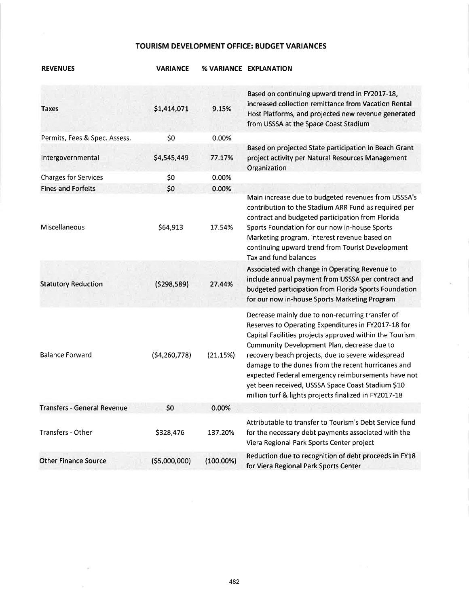#### TOURISM DEVELOPMENT OFFICE: BUDGET VARIANCES

| <b>REVENUES</b>               | <b>VARIANCE</b> |              | % VARIANCE EXPLANATION                                                                                                                                                                                                                                                                                                                                                                                                                                                                           |
|-------------------------------|-----------------|--------------|--------------------------------------------------------------------------------------------------------------------------------------------------------------------------------------------------------------------------------------------------------------------------------------------------------------------------------------------------------------------------------------------------------------------------------------------------------------------------------------------------|
| <b>Taxes</b>                  | \$1,414,071     | 9.15%        | Based on continuing upward trend in FY2017-18,<br>increased collection remittance from Vacation Rental<br>Host Platforms, and projected new revenue generated<br>from USSSA at the Space Coast Stadium                                                                                                                                                                                                                                                                                           |
| Permits, Fees & Spec. Assess. | \$0             | 0.00%        |                                                                                                                                                                                                                                                                                                                                                                                                                                                                                                  |
| Intergovernmental             | \$4,545,449     | 77.17%       | Based on projected State participation in Beach Grant<br>project activity per Natural Resources Management<br>Organization                                                                                                                                                                                                                                                                                                                                                                       |
| <b>Charges for Services</b>   | \$0             | 0.00%        |                                                                                                                                                                                                                                                                                                                                                                                                                                                                                                  |
| <b>Fines and Forfeits</b>     | \$0             | 0.00%        |                                                                                                                                                                                                                                                                                                                                                                                                                                                                                                  |
| Miscellaneous                 | \$64,913        | 17.54%       | Main increase due to budgeted revenues from USSSA's<br>contribution to the Stadium ARR Fund as required per<br>contract and budgeted participation from Florida<br>Sports Foundation for our now in-house Sports<br>Marketing program, interest revenue based on<br>continuing upward trend from Tourist Development<br>Tax and fund balances                                                                                                                                                    |
| <b>Statutory Reduction</b>    | (5298, 589)     | 27.44%       | Associated with change in Operating Revenue to<br>include annual payment from USSSA per contract and<br>budgeted participation from Florida Sports Foundation<br>for our now in-house Sports Marketing Program                                                                                                                                                                                                                                                                                   |
| <b>Balance Forward</b>        | (54, 260, 778)  | (21.15%)     | Decrease mainly due to non-recurring transfer of<br>Reserves to Operating Expenditures in FY2017-18 for<br>Capital Facilities projects approved within the Tourism<br>Community Development Plan, decrease due to<br>recovery beach projects, due to severe widespread<br>damage to the dunes from the recent hurricanes and<br>expected Federal emergency reimbursements have not<br>yet been received, USSSA Space Coast Stadium \$10<br>million turf & lights projects finalized in FY2017-18 |
| Transfers - General Revenue   | \$0             | 0.00%        |                                                                                                                                                                                                                                                                                                                                                                                                                                                                                                  |
| Transfers - Other             | \$328,476       | 137.20%      | Attributable to transfer to Tourism's Debt Service fund<br>for the necessary debt payments associated with the<br>Viera Regional Park Sports Center project                                                                                                                                                                                                                                                                                                                                      |
| <b>Other Finance Source</b>   | (55,000,000)    | $(100.00\%)$ | Reduction due to recognition of debt proceeds in FY18<br>for Viera Regional Park Sports Center                                                                                                                                                                                                                                                                                                                                                                                                   |

 $\mathbb{R}^3$ 

 $\sim 10^{-11}$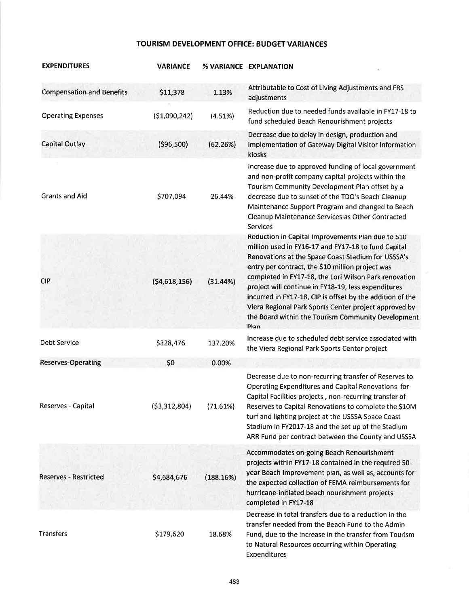## TOURISM DEVELOPMENT OFFICE: BUDGET VARIANCES

| <b>EXPENDITURES</b>              | <b>VARIANCE</b> |           | % VARIANCE EXPLANATION                                                                                                                                                                                                                                                                                                                                                                                                                                                                                                  |
|----------------------------------|-----------------|-----------|-------------------------------------------------------------------------------------------------------------------------------------------------------------------------------------------------------------------------------------------------------------------------------------------------------------------------------------------------------------------------------------------------------------------------------------------------------------------------------------------------------------------------|
| <b>Compensation and Benefits</b> | \$11,378        | 1.13%     | Attributable to Cost of Living Adjustments and FRS<br>adjustments                                                                                                                                                                                                                                                                                                                                                                                                                                                       |
| <b>Operating Expenses</b>        | ( \$1,090,242)  | (4.51%)   | Reduction due to needed funds available in FY17-18 to<br>fund scheduled Beach Renourishment projects                                                                                                                                                                                                                                                                                                                                                                                                                    |
| <b>Capital Outlay</b>            | ( \$96,500)     | (62.26%)  | Decrease due to delay in design, production and<br>implementation of Gateway Digital Visitor Information<br>kiosks                                                                                                                                                                                                                                                                                                                                                                                                      |
| <b>Grants and Aid</b>            | \$707,094       | 26.44%    | Increase due to approved funding of local government<br>and non-profit company capital projects within the<br>Tourism Community Development Plan offset by a<br>decrease due to sunset of the TDO's Beach Cleanup<br>Maintenance Support Program and changed to Beach<br>Cleanup Maintenance Services as Other Contracted<br><b>Services</b>                                                                                                                                                                            |
| <b>CIP</b>                       | (54,618,156)    | (31.44%)  | Reduction in Capital Improvements Plan due to \$10<br>million used in FY16-17 and FY17-18 to fund Capital<br>Renovations at the Space Coast Stadium for USSSA's<br>entry per contract, the \$10 million project was<br>completed in FY17-18, the Lori Wilson Park renovation<br>project will continue in FY18-19, less expenditures<br>incurred in FY17-18, CIP is offset by the addition of the<br>Viera Regional Park Sports Center project approved by<br>the Board within the Tourism Community Development<br>Plan |
| Debt Service                     | \$328,476       | 137.20%   | Increase due to scheduled debt service associated with<br>the Viera Regional Park Sports Center project                                                                                                                                                                                                                                                                                                                                                                                                                 |
| <b>Reserves-Operating</b>        | \$0             | 0.00%     |                                                                                                                                                                                                                                                                                                                                                                                                                                                                                                                         |
| Reserves - Capital               | ( \$3,312,804)  | (71.61%)  | Decrease due to non-recurring transfer of Reserves to<br>Operating Expenditures and Capital Renovations for<br>Capital Facilities projects, non-recurring transfer of<br>Reserves to Capital Renovations to complete the \$10M<br>turf and lighting project at the USSSA Space Coast<br>Stadium in FY2017-18 and the set up of the Stadium<br>ARR Fund per contract between the County and USSSA                                                                                                                        |
| <b>Reserves - Restricted</b>     | \$4,684,676     | (188.16%) | Accommodates on-going Beach Renourishment<br>projects within FY17-18 contained in the required 50-<br>year Beach Improvement plan, as well as, accounts for<br>the expected collection of FEMA reimbursements for<br>hurricane-initiated beach nourishment projects<br>completed in FY17-18                                                                                                                                                                                                                             |
| Transfers                        | \$179,620       | 18.68%    | Decrease in total transfers due to a reduction in the<br>transfer needed from the Beach Fund to the Admin<br>Fund, due to the increase in the transfer from Tourism<br>to Natural Resources occurring within Operating<br>Expenditures                                                                                                                                                                                                                                                                                  |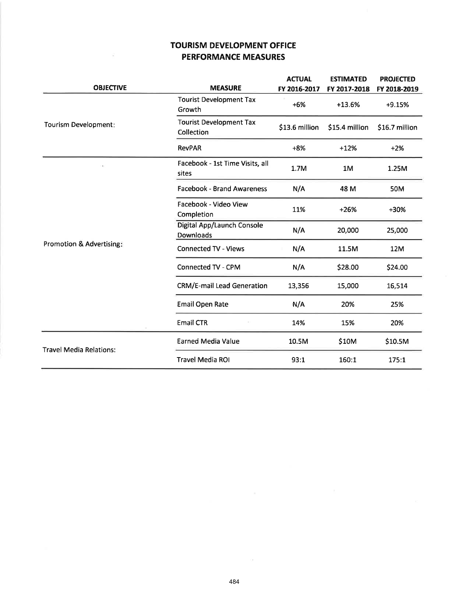### TOURISM DEVELOPMENT OFFICE PERFORMANCE MEASURES

|                                     |                                              | <b>ACTUAL</b>  | <b>ESTIMATED</b> | <b>PROJECTED</b> |
|-------------------------------------|----------------------------------------------|----------------|------------------|------------------|
| <b>OBJECTIVE</b>                    | <b>MEASURE</b>                               | FY 2016-2017   | FY 2017-2018     | FY 2018-2019     |
|                                     | <b>Tourist Development Tax</b><br>Growth     | $+6%$          | +13.6%           | +9.15%           |
| Tourism Development:                | <b>Tourist Development Tax</b><br>Collection | \$13.6 million | \$15.4 million   | \$16.7 million   |
|                                     | <b>RevPAR</b>                                | $+8%$          | $+12%$           | $+2%$            |
|                                     | Facebook - 1st Time Visits, all<br>sites     | 1.7M           | 1M               | 1.25M            |
|                                     | <b>Facebook - Brand Awareness</b>            | N/A            | 48 M             | 50M              |
|                                     | Facebook - Video View<br>Completion          | 11%            | $+26%$           | $+30%$           |
|                                     | Digital App/Launch Console<br>Downloads      | N/A            | 20,000           | 25,000           |
| <b>Promotion &amp; Advertising:</b> | <b>Connected TV - Views</b>                  | N/A            | 11.5M            | 12M              |
|                                     | Connected TV - CPM                           | N/A            | \$28.00          | \$24.00          |
|                                     | <b>CRM/E-mail Lead Generation</b>            | 13,356         | 15,000           | 16,514           |
|                                     | <b>Email Open Rate</b>                       | N/A            | 20%              | 25%              |
|                                     | <b>Email CTR</b>                             | 14%            | 15%              | 20%              |
| <b>Travel Media Relations:</b>      | <b>Earned Media Value</b>                    | 10.5M          | \$10M            | \$10.5M          |
|                                     | <b>Travel Media ROI</b>                      | 93:1           | 160:1            | 175:1            |

 $\sim$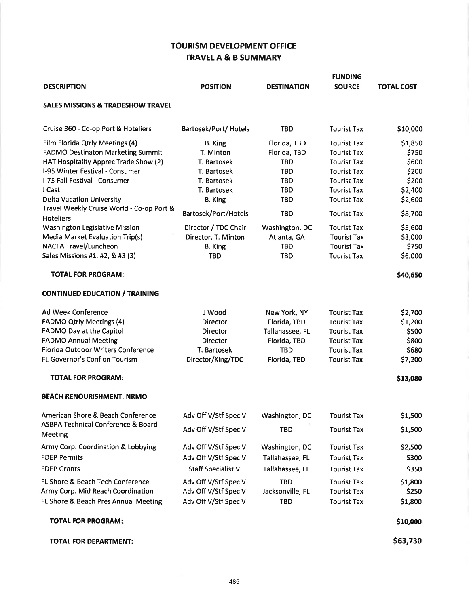### TOURISM DEVELOPMENT OFFICE TRAVEL A & B SUMMARY

|                                                               |                           |                    | <b>FUNDING</b>     |                   |
|---------------------------------------------------------------|---------------------------|--------------------|--------------------|-------------------|
| <b>DESCRIPTION</b>                                            | <b>POSITION</b>           | <b>DESTINATION</b> | <b>SOURCE</b>      | <b>TOTAL COST</b> |
| <b>SALES MISSIONS &amp; TRADESHOW TRAVEL</b>                  |                           |                    |                    |                   |
| Cruise 360 - Co-op Port & Hoteliers                           | Bartosek/Port/ Hotels     | <b>TBD</b>         | <b>Tourist Tax</b> | \$10,000          |
| Film Florida Qtrly Meetings (4)                               | B. King                   | Florida, TBD       | <b>Tourist Tax</b> | \$1,850           |
| <b>FADMO Destinaton Marketing Summit</b>                      | T. Minton                 | Florida, TBD       | <b>Tourist Tax</b> | \$750             |
| HAT Hospitality Apprec Trade Show (2)                         | T. Bartosek               | <b>TBD</b>         | <b>Tourist Tax</b> | \$600             |
| I-95 Winter Festival - Consumer                               | T. Bartosek               | <b>TBD</b>         | <b>Tourist Tax</b> | \$200             |
| I-75 Fall Festival - Consumer                                 | T. Bartosek               | <b>TBD</b>         | <b>Tourist Tax</b> | \$200             |
| I Cast                                                        | T. Bartosek               | <b>TBD</b>         | <b>Tourist Tax</b> | \$2,400           |
| <b>Delta Vacation University</b>                              | B. King                   | <b>TBD</b>         | <b>Tourist Tax</b> | \$2,600           |
| Travel Weekly Cruise World - Co-op Port &<br><b>Hoteliers</b> | Bartosek/Port/Hotels      | <b>TBD</b>         | <b>Tourist Tax</b> | \$8,700           |
| Washington Legislative Mission                                | Director / TDC Chair      | Washington, DC     | <b>Tourist Tax</b> | \$3,600           |
| <b>Media Market Evaluation Trip(s)</b>                        | Director, T. Minton       | Atlanta, GA        | <b>Tourist Tax</b> | \$3,000           |
| NACTA Travel/Luncheon                                         | <b>B.</b> King            | <b>TBD</b>         | <b>Tourist Tax</b> | \$750             |
| Sales Missions #1, #2, & #3 (3)                               | <b>TBD</b>                | <b>TBD</b>         | <b>Tourist Tax</b> | \$6,000           |
| <b>TOTAL FOR PROGRAM:</b>                                     |                           |                    |                    | \$40,650          |
| <b>CONTINUED EDUCATION / TRAINING</b>                         |                           |                    |                    |                   |
| Ad Week Conference                                            | J Wood                    | New York, NY       | <b>Tourist Tax</b> | \$2,700           |
| <b>FADMO Qtrly Meetings (4)</b>                               | Director                  | Florida, TBD       | <b>Tourist Tax</b> | \$1,200           |
| FADMO Day at the Capitol                                      | Director                  | Tallahassee, FL    | <b>Tourist Tax</b> | \$500             |
| <b>FADMO Annual Meeting</b>                                   | Director                  | Florida, TBD       | <b>Tourist Tax</b> | \$800             |
| Florida Outdoor Writers Conference                            | T. Bartosek               | <b>TBD</b>         | <b>Tourist Tax</b> | \$680             |
| FL Governor's Conf on Tourism                                 | Director/King/TDC         | Florida, TBD       | <b>Tourist Tax</b> | \$7,200           |
| <b>TOTAL FOR PROGRAM:</b>                                     |                           |                    |                    | \$13,080          |
| <b>BEACH RENOURISHMENT: NRMO</b>                              |                           |                    |                    |                   |
| American Shore & Beach Conference                             | Adv Off V/Stf Spec V      | Washington, DC     | <b>Tourist Tax</b> | \$1,500           |
| <b>ASBPA Technical Conference &amp; Board</b><br>Meeting      | Adv Off V/Stf Spec V      | <b>TBD</b>         | <b>Tourist Tax</b> | \$1,500           |
| Army Corp. Coordination & Lobbying                            | Adv Off V/Stf Spec V      | Washington, DC     | <b>Tourist Tax</b> | \$2,500           |
| <b>FDEP Permits</b>                                           | Adv Off V/Stf Spec V      | Tallahassee, FL    | <b>Tourist Tax</b> | \$300             |
| <b>FDEP Grants</b>                                            | <b>Staff Specialist V</b> | Tallahassee, FL    | <b>Tourist Tax</b> | \$350             |
| FL Shore & Beach Tech Conference                              | Adv Off V/Stf Spec V      | TBD                | <b>Tourist Tax</b> | \$1,800           |
| Army Corp. Mid Reach Coordination                             | Adv Off V/Stf Spec V      | Jacksonville, FL   | <b>Tourist Tax</b> | \$250             |
| FL Shore & Beach Pres Annual Meeting                          | Adv Off V/Stf Spec V      | <b>TBD</b>         | <b>Tourist Tax</b> | \$1,800           |
| <b>TOTAL FOR PROGRAM:</b>                                     |                           |                    |                    | \$10,000          |
| TOTAL FOR DEPARTMENT:                                         |                           |                    |                    | \$63,730          |
|                                                               |                           |                    |                    |                   |

 $\delta$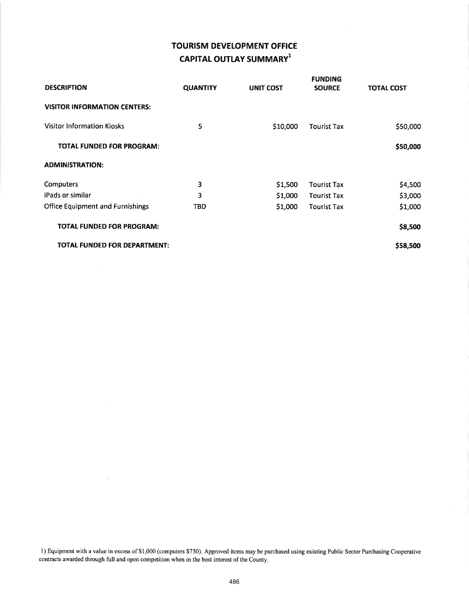# TOURISM DEVELOPMENT OFFICE CAPITAL OUTLAY SUMMARY<sup>1</sup>

| <b>DESCRIPTION</b>                      | <b>QUANTITY</b> | <b>UNIT COST</b> | <b>FUNDING</b><br><b>SOURCE</b> | <b>TOTAL COST</b> |
|-----------------------------------------|-----------------|------------------|---------------------------------|-------------------|
| <b>VISITOR INFORMATION CENTERS:</b>     |                 |                  |                                 |                   |
| <b>Visitor Information Kiosks</b>       | 5               | \$10,000         | <b>Tourist Tax</b>              | \$50,000          |
| <b>TOTAL FUNDED FOR PROGRAM:</b>        |                 |                  |                                 | \$50,000          |
| <b>ADMINISTRATION:</b>                  |                 |                  |                                 |                   |
| <b>Computers</b>                        | 3               | \$1,500          | <b>Tourist Tax</b>              | \$4,500           |
| iPads or similar                        | 3               | \$1,000          | <b>Tourist Tax</b>              | \$3,000           |
| <b>Office Equipment and Furnishings</b> | <b>TBD</b>      | \$1,000          | Tourist Tax                     | \$1,000           |
| <b>TOTAL FUNDED FOR PROGRAM:</b>        |                 |                  |                                 | \$8,500           |
| <b>TOTAL FUNDED FOR DEPARTMENT:</b>     |                 |                  |                                 | \$58,500          |

l) Equipment with a value in excess of \$1,000 (computers \$750). Approved items may be purchased using existing Public Sector Purchasing Cooperative contracts awarded through full and open competition when in the best interest of the County.

 $\tilde{\omega}$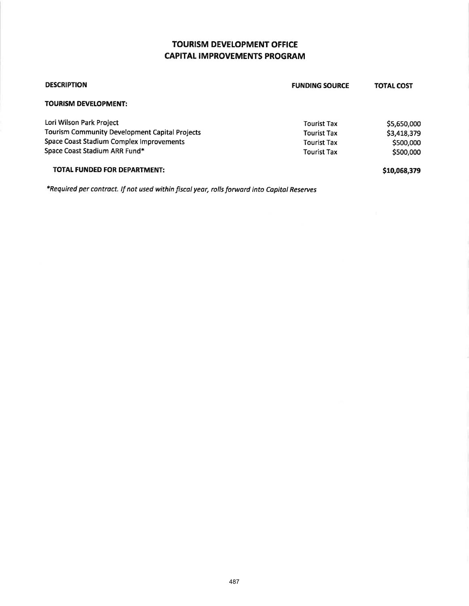## TOURISM DEVELOPMENT OFFICE **CAPITAL IMPROVEMENTS PROGRAM**

| <b>DESCRIPTION</b>                                    | <b>FUNDING SOURCE</b> | <b>TOTAL COST</b> |
|-------------------------------------------------------|-----------------------|-------------------|
| <b>TOURISM DEVELOPMENT:</b>                           |                       |                   |
| Lori Wilson Park Project                              | <b>Tourist Tax</b>    | \$5,650,000       |
| <b>Tourism Community Development Capital Projects</b> | <b>Tourist Tax</b>    | \$3,418,379       |
| <b>Space Coast Stadium Complex Improvements</b>       | <b>Tourist Tax</b>    | \$500,000         |
| Space Coast Stadium ARR Fund*                         | <b>Tourist Tax</b>    | \$500,000         |
| <b>TOTAL FUNDED FOR DEPARTMENT:</b>                   |                       | \$10,068,379      |

\*Required per contract. lf not used within fiscal year, rolls forward into Capital Reserues